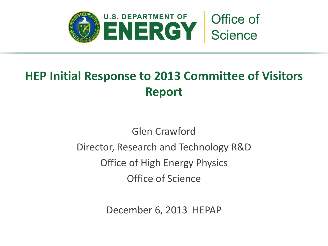

# **HEP Initial Response to 2013 Committee of Visitors Report**

# Glen Crawford Director, Research and Technology R&D Office of High Energy Physics Office of Science

December 6, 2013 HEPAP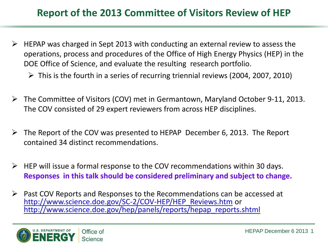### **Report of the 2013 Committee of Visitors Review of HEP**

- $\triangleright$  HEPAP was charged in Sept 2013 with conducting an external review to assess the operations, process and procedures of the Office of High Energy Physics (HEP) in the DOE Office of Science, and evaluate the resulting research portfolio.
	- $\triangleright$  This is the fourth in a series of recurring triennial reviews (2004, 2007, 2010)
- The Committee of Visitors (COV) met in Germantown, Maryland October 9-11, 2013. The COV consisted of 29 expert reviewers from across HEP disciplines.
- $\triangleright$  The Report of the COV was presented to HEPAP December 6, 2013. The Report contained 34 distinct recommendations.
- $\triangleright$  HEP will issue a formal response to the COV recommendations within 30 days. **Responses in this talk should be considered preliminary and subject to change.**
- $\triangleright$  Past COV Reports and Responses to the Recommendations can be accessed at [http://www.science.doe.gov/SC-2/COV-HEP/HEP\\_Reviews.htm](http://www.science.doe.gov/SC-2/COV-HEP/HEP_Reviews.htm) or [http://www.science.doe.gov/hep/panels/reports/hepap\\_reports.shtml](http://www.science.doe.gov/hep/panels/reports/hepap_reports.shtml)

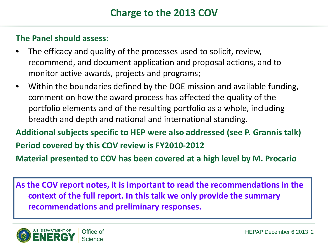### **The Panel should assess:**

- The efficacy and quality of the processes used to solicit, review, recommend, and document application and proposal actions, and to monitor active awards, projects and programs;
- Within the boundaries defined by the DOE mission and available funding, comment on how the award process has affected the quality of the portfolio elements and of the resulting portfolio as a whole, including breadth and depth and national and international standing.
- **Additional subjects specific to HEP were also addressed (see P. Grannis talk) Period covered by this COV review is FY2010-2012**

**Material presented to COV has been covered at a high level by M. Procario**

**As the COV report notes, it is important to read the recommendations in the context of the full report. In this talk we only provide the summary recommendations and preliminary responses.** 

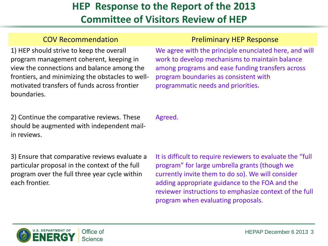1) HEP should strive to keep the overall program management coherent, keeping in view the connections and balance among the frontiers, and minimizing the obstacles to wellmotivated transfers of funds across frontier boundaries.

### COV Recommendation **COV Recommendation Preliminary HEP Response**

We agree with the principle enunciated here, and will work to develop mechanisms to maintain balance among programs and ease funding transfers across program boundaries as consistent with programmatic needs and priorities.

2) Continue the comparative reviews. These should be augmented with independent mailin reviews.

Agreed.

3) Ensure that comparative reviews evaluate a particular proposal in the context of the full program over the full three year cycle within each frontier.

It is difficult to require reviewers to evaluate the "full program" for large umbrella grants (though we currently invite them to do so). We will consider adding appropriate guidance to the FOA and the reviewer instructions to emphasize context of the full program when evaluating proposals.

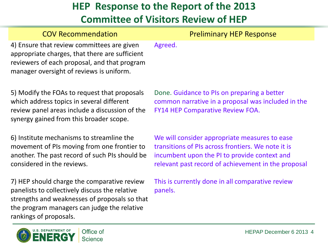| <b>COV Recommendation</b>                                                                                                                                                                | <b>Preliminary HEP Response</b>                                                                                                                                                                            |
|------------------------------------------------------------------------------------------------------------------------------------------------------------------------------------------|------------------------------------------------------------------------------------------------------------------------------------------------------------------------------------------------------------|
| 4) Ensure that review committees are given<br>appropriate charges, that there are sufficient<br>reviewers of each proposal, and that program<br>manager oversight of reviews is uniform. | Agreed.                                                                                                                                                                                                    |
| 5) Modify the FOAs to request that proposals<br>which address topics in several different<br>review panel areas include a discussion of the<br>synergy gained from this broader scope.   | Done. Guidance to PIs on preparing a better<br>common narrative in a proposal was included in the<br><b>FY14 HEP Comparative Review FOA.</b>                                                               |
| 6) Institute mechanisms to streamline the<br>movement of PIs moving from one frontier to<br>another. The past record of such PIs should be<br>considered in the reviews.                 | We will consider appropriate measures to ease<br>transitions of PIs across frontiers. We note it is<br>incumbent upon the PI to provide context and<br>relevant past record of achievement in the proposal |

7) HEP should charge the comparative review panelists to collectively discuss the relative strengths and weaknesses of proposals so that the program managers can judge the relative rankings of proposals.

This is currently done in all comparative review panels.

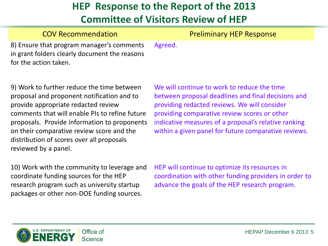| <b>COV Recommendation</b>                                                                                           |         | <b>Preliminary HEP Response</b> |
|---------------------------------------------------------------------------------------------------------------------|---------|---------------------------------|
| 8) Ensure that program manager's comments<br>in grant folders clearly document the reasons<br>for the action taken. | Agreed. |                                 |

9) Work to further reduce the time between proposal and proponent notification and to provide appropriate redacted review comments that will enable PIs to refine future proposals. Provide information to proponents on their comparative review score and the distribution of scores over all proposals reviewed by a panel.

We will continue to work to reduce the time between proposal deadlines and final decisions and providing redacted reviews. We will consider providing comparative review scores or other indicative measures of a proposal's relative ranking within a given panel for future comparative reviews.

10) Work with the community to leverage and coordinate funding sources for the HEP research program such as university startup packages or other non-DOE funding sources.

HEP will continue to optimize its resources in coordination with other funding providers in order to advance the goals of the HEP research program.

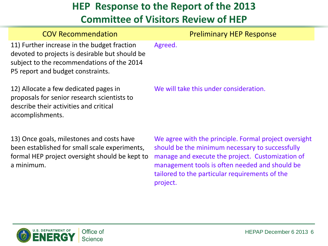| <b>COV Recommendation</b>                                                                                                                                                        | <b>Preliminary HEP Response</b>                     |
|----------------------------------------------------------------------------------------------------------------------------------------------------------------------------------|-----------------------------------------------------|
| 11) Further increase in the budget fraction<br>devoted to projects is desirable but should be<br>subject to the recommendations of the 2014<br>P5 report and budget constraints. | Agreed.                                             |
| 12) Allocate a few dedicated pages in<br>proposals for senior research scientists to<br>describe their activities and critical<br>accomplishments.                               | We will take this under consideration.              |
| 12) Once goals milectones and sosts have                                                                                                                                         | We agree with the principle Fermal project evercies |

13) Once goals, milestones and costs have been established for small scale experiments, formal HEP project oversight should be kept to a minimum.

We agree with the principle. Formal project oversight should be the minimum necessary to successfully manage and execute the project. Customization of management tools is often needed and should be tailored to the particular requirements of the project.



HEPAP December 6 2013 6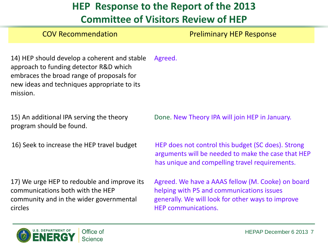# **HEP Response to the Report of the 2013**

### **Committee of Visitors Review of HEP**

COV Recommendation **Preliminary HEP Response** 

14) HEP should develop a coherent and stable approach to funding detector R&D which embraces the broad range of proposals for new ideas and techniques appropriate to its mission. Agreed.

15) An additional IPA serving the theory program should be found.

17) We urge HEP to redouble and improve its communications both with the HEP community and in the wider governmental circles

Done. New Theory IPA will join HEP in January.

16) Seek to increase the HEP travel budget HEP does not control this budget (SC does). Strong arguments will be needed to make the case that HEP has unique and compelling travel requirements.

> Agreed. We have a AAAS fellow (M. Cooke) on board helping with P5 and communications issues generally. We will look for other ways to improve HEP communications.

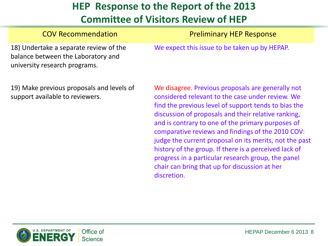| <b>COV Recommendation</b>                                                                                     | <b>Preliminary HEP Response</b>               |
|---------------------------------------------------------------------------------------------------------------|-----------------------------------------------|
| 18) Undertake a separate review of the<br>balance between the Laboratory and<br>university research programs. | We expect this issue to be taken up by HEPAP. |

19) Make previous proposals and levels of support available to reviewers.

We disagree. Previous proposals are generally not considered relevant to the case under review. We find the previous level of support tends to bias the discussion of proposals and their relative ranking, and is contrary to one of the primary purposes of comparative reviews and findings of the 2010 COV: judge the current proposal on its merits, not the past history of the group. If there is a perceived lack of progress in a particular research group, the panel chair can bring that up for discussion at her discretion.

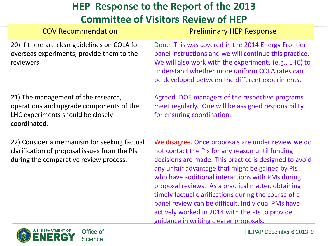### COV Recommendation **Preliminary HEP Response**

20) If there are clear guidelines on COLA for overseas experiments, provide them to the reviewers.

21) The management of the research, operations and upgrade components of the LHC experiments should be closely coordinated.

22) Consider a mechanism for seeking factual clarification of proposal issues from the PIs during the comparative review process.

Done. This was covered in the 2014 Energy Frontier panel instructions and we will continue this practice. We will also work with the experiments (e.g., LHC) to understand whether more uniform COLA rates can be developed between the different experiments.

Agreed. DOE managers of the respective programs meet regularly. One will be assigned responsibility for ensuring coordination.

We disagree. Once proposals are under review we do not contact the PIs for any reason until funding decisions are made. This practice is designed to avoid any unfair advantage that might be gained by PIs who have additional interactions with PMs during proposal reviews. As a practical matter, obtaining timely factual clarifications during the course of a panel review can be difficult. Individual PMs have actively worked in 2014 with the PIs to provide guidance in writing clearer proposals.

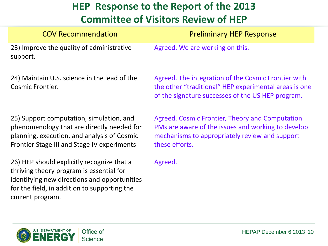| <b>COV Recommendation</b>                                                                                                                                                                                  | <b>Preliminary HEP Response</b>                                                                                                                                           |
|------------------------------------------------------------------------------------------------------------------------------------------------------------------------------------------------------------|---------------------------------------------------------------------------------------------------------------------------------------------------------------------------|
| 23) Improve the quality of administrative<br>support.                                                                                                                                                      | Agreed. We are working on this.                                                                                                                                           |
| 24) Maintain U.S. science in the lead of the<br><b>Cosmic Frontier.</b>                                                                                                                                    | Agreed. The integration of the Cosmic Frontier with<br>the other "traditional" HEP experimental areas is one<br>of the signature successes of the US HEP program.         |
| 25) Support computation, simulation, and<br>phenomenology that are directly needed for<br>planning, execution, and analysis of Cosmic<br>Frontier Stage III and Stage IV experiments                       | Agreed. Cosmic Frontier, Theory and Computation<br>PMs are aware of the issues and working to develop<br>mechanisms to appropriately review and support<br>these efforts. |
| 26) HEP should explicitly recognize that a<br>thriving theory program is essential for<br>identifying new directions and opportunities<br>for the field, in addition to supporting the<br>current program. | Agreed.                                                                                                                                                                   |
| Office of<br><b>Science</b>                                                                                                                                                                                | HEPAP December 6 2013 10                                                                                                                                                  |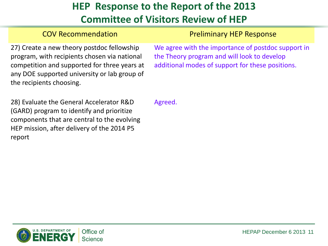### COV Recommendation **Preliminary HEP Response**

27) Create a new theory postdoc fellowship program, with recipients chosen via national competition and supported for three years at any DOE supported university or lab group of the recipients choosing.

We agree with the importance of postdoc support in the Theory program and will look to develop additional modes of support for these positions.

28) Evaluate the General Accelerator R&D (GARD) program to identify and prioritize components that are central to the evolving HEP mission, after delivery of the 2014 P5 report

Agreed.

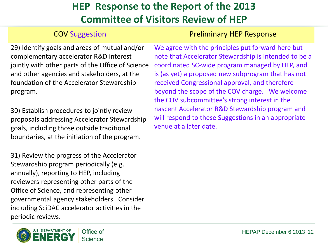### **COV Suggestion COV Suggestion Preliminary HEP Response**

29) Identify goals and areas of mutual and/or complementary accelerator R&D interest jointly with other parts of the Office of Science and other agencies and stakeholders, at the foundation of the Accelerator Stewardship program.

30) Establish procedures to jointly review proposals addressing Accelerator Stewardship goals, including those outside traditional boundaries, at the initiation of the program.

31) Review the progress of the Accelerator Stewardship program periodically (e.g. annually), reporting to HEP, including reviewers representing other parts of the Office of Science, and representing other governmental agency stakeholders. Consider including SciDAC accelerator activities in the periodic reviews.



We agree with the principles put forward here but note that Accelerator Stewardship is intended to be a coordinated SC-wide program managed by HEP, and is (as yet) a proposed new subprogram that has not received Congressional approval, and therefore beyond the scope of the COV charge. We welcome the COV subcommittee's strong interest in the nascent Accelerator R&D Stewardship program and will respond to these Suggestions in an appropriate venue at a later date.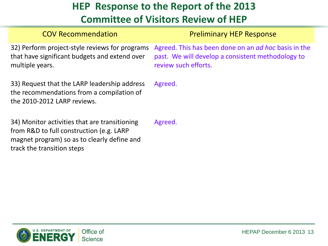| <b>COV Recommendation</b>                                                                                                                                              | <b>Preliminary HEP Response</b>                                                                                                          |
|------------------------------------------------------------------------------------------------------------------------------------------------------------------------|------------------------------------------------------------------------------------------------------------------------------------------|
| 32) Perform project-style reviews for programs<br>that have significant budgets and extend over<br>multiple years.                                                     | Agreed. This has been done on an <i>ad hoc</i> basis in the<br>past. We will develop a consistent methodology to<br>review such efforts. |
| 33) Request that the LARP leadership address<br>the recommendations from a compilation of<br>the 2010-2012 LARP reviews.                                               | Agreed.                                                                                                                                  |
| 34) Monitor activities that are transitioning<br>from R&D to full construction (e.g. LARP<br>magnet program) so as to clearly define and<br>track the transition steps | Agreed.                                                                                                                                  |

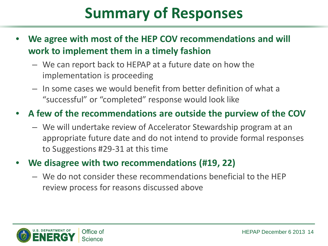# **Summary of Responses**

- **We agree with most of the HEP COV recommendations and will work to implement them in a timely fashion**
	- We can report back to HEPAP at a future date on how the implementation is proceeding
	- In some cases we would benefit from better definition of what a "successful" or "completed" response would look like

### • **A few of the recommendations are outside the purview of the COV**

– We will undertake review of Accelerator Stewardship program at an appropriate future date and do not intend to provide formal responses to Suggestions #29-31 at this time

### • **We disagree with two recommendations (#19, 22)**

– We do not consider these recommendations beneficial to the HEP review process for reasons discussed above